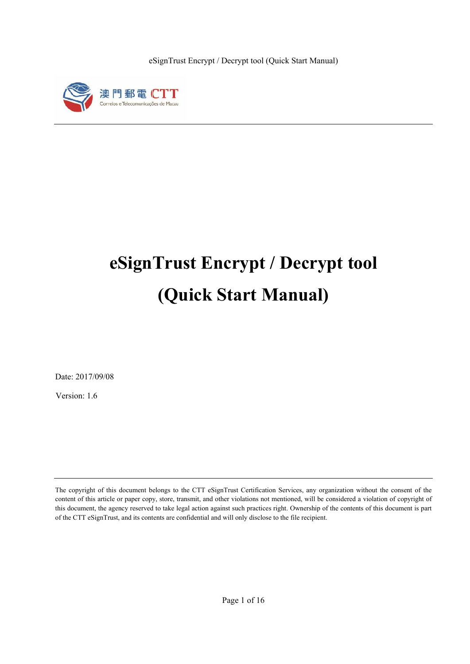

# **eSignTrust Encrypt / Decrypt tool (Quick Start Manual)**

Date: 2017/09/08

Version: 1.6

The copyright of this document belongs to the CTT eSignTrust Certification Services, any organization without the consent of the content of this article or paper copy, store, transmit, and other violations not mentioned, will be considered a violation of copyright of this document, the agency reserved to take legal action against such practices right. Ownership of the contents of this document is part of the CTT eSignTrust, and its contents are confidential and will only disclose to the file recipient.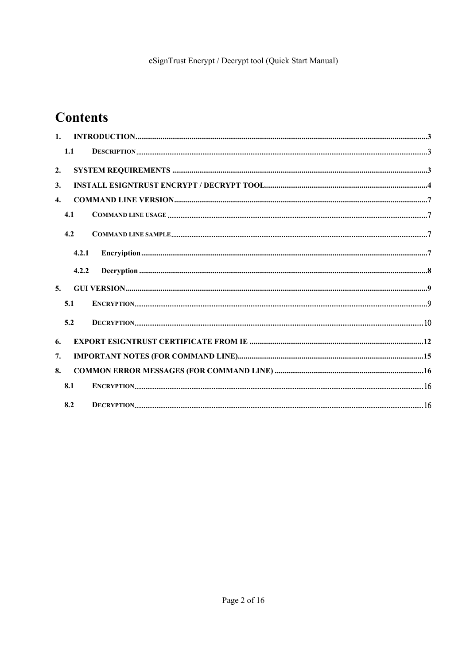# **Contents**

| 1 <sub>1</sub>   |       |                                                                                                                                                                                                                                                                                                                  |  |
|------------------|-------|------------------------------------------------------------------------------------------------------------------------------------------------------------------------------------------------------------------------------------------------------------------------------------------------------------------|--|
|                  | 1.1   | $\textbf{DESCRIPTION} \text{} \text{} \text{} \text{} \text{} \text{} \text{} \text{} \text{} \text{} \text{} \text{} \text{} \text{} \text{} \text{} \text{} \text{} \text{} \text{} \text{} \text{} \text{} \text{} \text{} \text{} \text{}} \text{} \text{} \text{} \text{} \text{} \text{} \text{} \text{}}$ |  |
| 2.               |       |                                                                                                                                                                                                                                                                                                                  |  |
| 3.               |       |                                                                                                                                                                                                                                                                                                                  |  |
| $\overline{4}$ . |       |                                                                                                                                                                                                                                                                                                                  |  |
|                  | 4.1   |                                                                                                                                                                                                                                                                                                                  |  |
|                  | 4.2   |                                                                                                                                                                                                                                                                                                                  |  |
|                  | 4.2.1 |                                                                                                                                                                                                                                                                                                                  |  |
|                  | 4.2.2 |                                                                                                                                                                                                                                                                                                                  |  |
| 5.               |       |                                                                                                                                                                                                                                                                                                                  |  |
|                  | 5.1   |                                                                                                                                                                                                                                                                                                                  |  |
|                  | 5.2   |                                                                                                                                                                                                                                                                                                                  |  |
| 6.               |       |                                                                                                                                                                                                                                                                                                                  |  |
| 7.               |       |                                                                                                                                                                                                                                                                                                                  |  |
| 8.               |       |                                                                                                                                                                                                                                                                                                                  |  |
|                  | 8.1   |                                                                                                                                                                                                                                                                                                                  |  |
|                  | 8.2   |                                                                                                                                                                                                                                                                                                                  |  |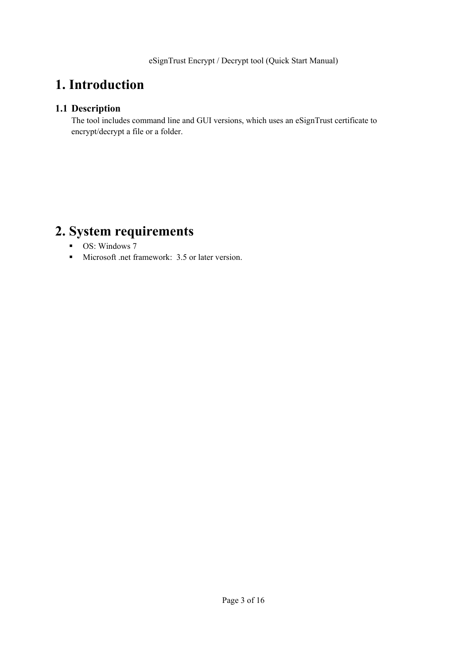# **1. Introduction**

## **1.1 Description**

The tool includes command line and GUI versions, which uses an eSignTrust certificate to encrypt/decrypt a file or a folder.

# **2. System requirements**

- **OS:** Windows 7
- Microsoft .net framework: 3.5 or later version.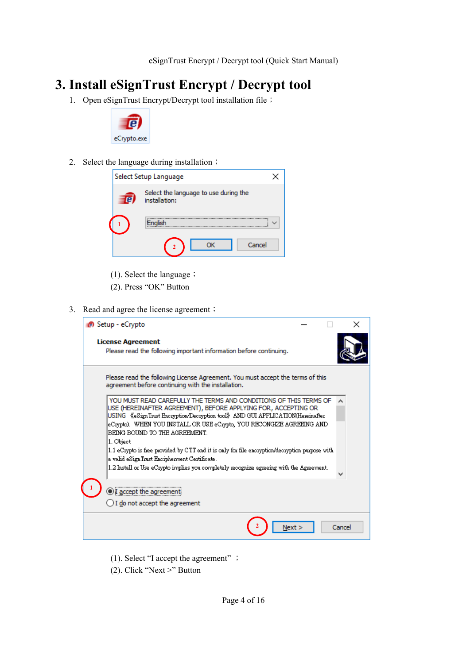# **3. Install eSignTrust Encrypt / Decrypt tool**

1. Open eSignTrust Encrypt/Decrypt tool installation file;



2. Select the language during installation;

|                                                        | Select Setup Language |  |  |
|--------------------------------------------------------|-----------------------|--|--|
| Select the language to use during the<br>installation: |                       |  |  |
|                                                        | Enalish               |  |  |
|                                                        | Cancel<br>nĸ          |  |  |

- (1). Select the language ;
- (2). Press "OK" Button
- 3. Read and agree the license agreement;

| $\blacksquare$ Setup - eCrypto                                                                                                                                                                                      |        | × |
|---------------------------------------------------------------------------------------------------------------------------------------------------------------------------------------------------------------------|--------|---|
| <b>License Agreement</b><br>Please read the following important information before continuing.                                                                                                                      |        |   |
| Please read the following License Agreement. You must accept the terms of this<br>agreement before continuing with the installation.                                                                                |        |   |
| YOU MUST READ CAREFULLY THE TERMS AND CONDITIONS OF THIS TERMS OF<br>USE (HEREINAFTER AGREEMENT), BEFORE APPLYING FOR, ACCEPTING OR<br>USING 《eSignTrust Encryption/Decryption tool》AND GUI APPLICATION(Hereinafter |        |   |
| eCrypto). WHEN YOU INSTALL OR USE eCrypto, YOU RECONGIZE AGREEING AND .<br>BEING BOUND TO THE AGREEMENT.<br>1. Object                                                                                               |        |   |
| 1.1 eCrypto is free provided by CTT and it is only for file encryption/decryption purpose with<br>a valid eSignTrust Encipherment Certificate.                                                                      |        |   |
| $1.2$ Install or Use eCrypto implies you completely recognize agreeing with the Agreement.                                                                                                                          |        |   |
| )I accept the agreem                                                                                                                                                                                                |        |   |
| $\bigcup$ I do not accept the agreement                                                                                                                                                                             |        |   |
|                                                                                                                                                                                                                     | Cancel |   |

- (1). Select "I accept the agreement" ;
- (2). Click "Next >" Button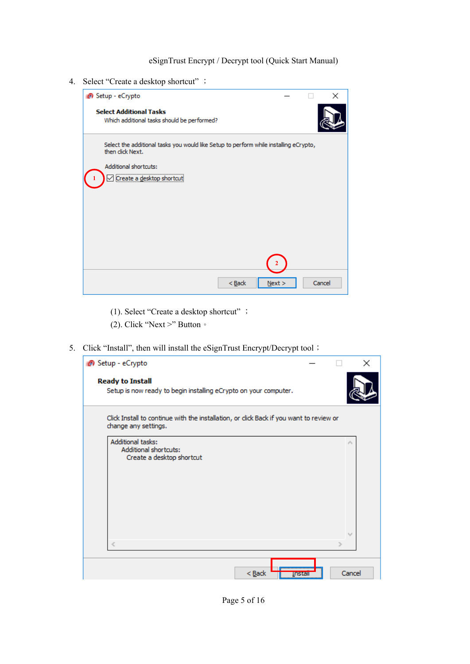4. Select "Create a desktop shortcut" ;



- (1). Select "Create a desktop shortcut" ;
- (2). Click "Next >" Button  $\circ$
- 5. Click "Install", then will install the eSignTrust Encrypt/Decrypt tool;

| <sup>6</sup> Setup - eCrypto                                                                                    |   | ×                       |
|-----------------------------------------------------------------------------------------------------------------|---|-------------------------|
| <b>Ready to Install</b><br>Setup is now ready to begin installing eCrypto on your computer.                     |   |                         |
| Click Install to continue with the installation, or click Back if you want to review or<br>change any settings. |   |                         |
| Additional tasks:<br>Additional shortcuts:<br>Create a desktop shortcut                                         |   | ×                       |
| €                                                                                                               | У | $\mathcal{V}_{\rm tot}$ |
| $Back$                                                                                                          |   | Cancel                  |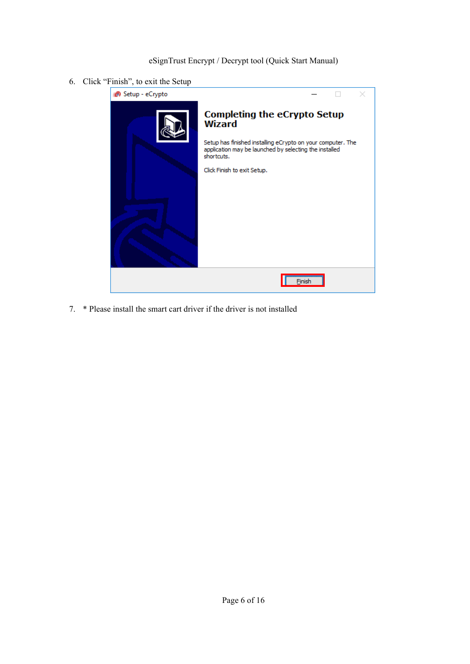6. Click "Finish", to exit the Setup



7. \* Please install the smart cart driver if the driver is not installed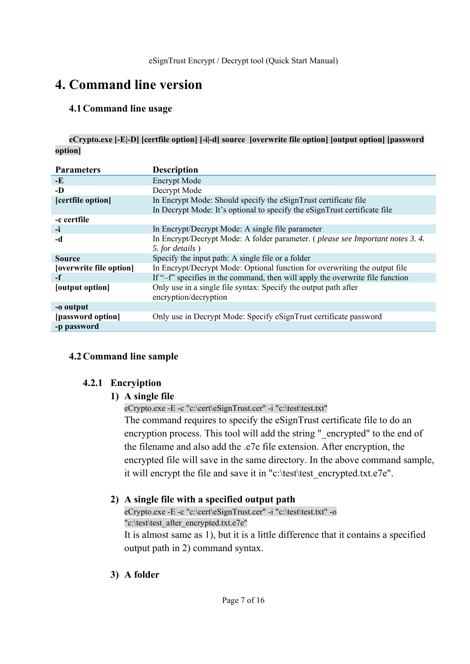# **4. Command line version**

### **4.1Command line usage**

**eCrypto.exe [-E|-D] [certfile option] [-i|-d] source [overwrite file option] [output option] [password option]**

| <b>Parameters</b>       | <b>Description</b>                                                            |
|-------------------------|-------------------------------------------------------------------------------|
| $-E$                    | <b>Encrypt Mode</b>                                                           |
| -D                      | Decrypt Mode                                                                  |
| [certfile option]       | In Encrypt Mode: Should specify the eSignTrust certificate file               |
|                         | In Decrypt Mode: It's optional to specify the eSignTrust certificate file     |
| -c certfile             |                                                                               |
| -i                      | In Encrypt/Decrypt Mode: A single file parameter                              |
| -d                      | In Encrypt/Decrypt Mode: A folder parameter. (please see Important notes 3.4. |
|                         | 5. for details)                                                               |
| <b>Source</b>           | Specify the input path: A single file or a folder                             |
| [overwrite file option] | In Encrypt/Decrypt Mode: Optional function for overwriting the output file    |
| -f                      | If "-f" specifies in the command, then will apply the overwrite file function |
| [output option]         | Only use in a single file syntax: Specify the output path after               |
|                         | encryption/decryption                                                         |
| -o output               |                                                                               |
| [password option]       | Only use in Decrypt Mode: Specify eSignTrust certificate password             |
| -p password             |                                                                               |

## **4.2Command line sample**

#### **4.2.1 Encryiption**

## **1) A single file**

eCrypto.exe -E -c "c:\cert\eSignTrust.cer" -i "c:\test\test.txt"

The command requires to specify the eSignTrust certificate file to do an encryption process. This tool will add the string "\_encrypted" to the end of the filename and also add the .e7e file extension. After encryption, the encrypted file will save in the same directory. In the above command sample, it will encrypt the file and save it in "c:\test\test\_encrypted.txt.e7e".

## **2) A single file with a specified output path**

eCrypto.exe -E -c "c:\cert\eSignTrust.cer" -i "c:\test\test.txt" -o "c:\test\test\_after\_encrypted.txt.e7e"

It is almost same as 1), but it is a little difference that it contains a specified output path in 2) command syntax.

**3) A folder**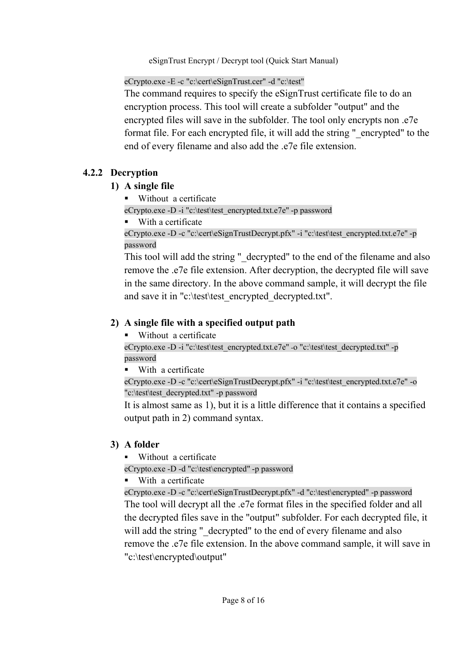eCrypto.exe -E -c "c:\cert\eSignTrust.cer" -d "c:\test"

The command requires to specify the eSignTrust certificate file to do an encryption process. This tool will create a subfolder "output" and the encrypted files will save in the subfolder. The tool only encrypts non .e7e format file. For each encrypted file, it will add the string "\_encrypted" to the end of every filename and also add the .e7e file extension.

# **4.2.2 Decryption**

## **1) A single file**

**Without a certificate** 

eCrypto.exe -D -i "c:\test\test\_encrypted.txt.e7e" -p password

■ With a certificate

eCrypto.exe -D -c "c:\cert\eSignTrustDecrypt.pfx" -i "c:\test\test\_encrypted.txt.e7e" -p password

This tool will add the string " decrypted" to the end of the filename and also remove the .e7e file extension. After decryption, the decrypted file will save in the same directory. In the above command sample, it will decrypt the file and save it in "c:\test\test\_encrypted\_decrypted.txt".

# **2) A single file with a specified output path**

■ Without a certificate

eCrypto.exe -D -i "c:\test\test\_encrypted.txt.e7e" -o "c:\test\test\_decrypted.txt" -p password

■ With a certificate

eCrypto.exe -D -c "c:\cert\eSignTrustDecrypt.pfx" -i "c:\test\test\_encrypted.txt.e7e" -o "c:\test\test\_decrypted.txt" -p password

It is almost same as 1), but it is a little difference that it contains a specified output path in 2) command syntax.

# **3) A folder**

Without a certificate

eCrypto.exe -D -d "c:\test\encrypted" -p password

■ With a certificate

eCrypto.exe -D -c "c:\cert\eSignTrustDecrypt.pfx" -d "c:\test\encrypted" -p password The tool will decrypt all the .e7e format files in the specified folder and all the decrypted files save in the "output" subfolder. For each decrypted file, it will add the string " decrypted" to the end of every filename and also remove the .e7e file extension. In the above command sample, it will save in "c:\test\encrypted\output"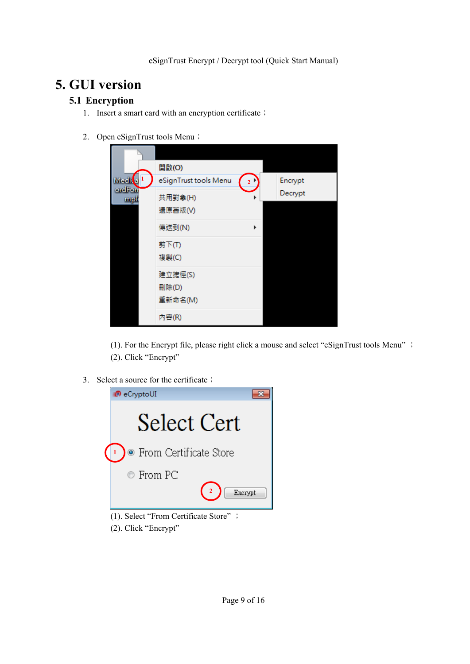# **5. GUI version**

## **5.1 Encryption**

- 1. Insert a smart card with an encryption certificate;
- 2. Open eSignTrust tools Menu;

|                        | 開啟(O)                 |                         |         |
|------------------------|-----------------------|-------------------------|---------|
| Medit <mark>e</mark> 1 | eSignTrust tools Menu | $\overline{\mathbf{2}}$ | Encrypt |
| ordFort<br>mpk         | 共用對象(H)               |                         | Decrypt |
|                        | 還原舊版(V)               |                         |         |
|                        | 傅送到(N)                | ▶                       |         |
|                        | 剪下(T)                 |                         |         |
|                        | 複製(C)                 |                         |         |
|                        | 建立捷徑(S)               |                         |         |
|                        | 刪除(D)                 |                         |         |
|                        | 重新命名(M)               |                         |         |
|                        | 内容(R)                 |                         |         |

 (1). For the Encrypt file, please right click a mouse and select "eSignTrust tools Menu" ; (2). Click "Encrypt"

3. Select a source for the certificate;



- (1). Select "From Certificate Store" ;
- (2). Click "Encrypt"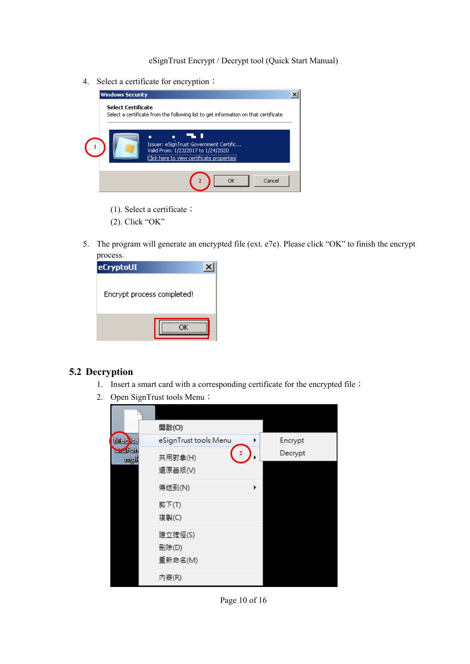4. Select a certificate for encryption;

| <b>Windows Security</b>   |                                                                                      |  |
|---------------------------|--------------------------------------------------------------------------------------|--|
| <b>Select Certificate</b> | Select a certificate from the following list to get information on that certificate  |  |
|                           | 55 D<br>Issuer: eSignTrust Government Certific<br>Valid From: 1/23/2017 to 1/24/2020 |  |
|                           | Click here to view certificate properties<br>Cancel<br>ОΚ                            |  |
|                           |                                                                                      |  |

- (1). Select a certificate;
- (2). Click "OK"
- 5. The program will generate an encrypted file (ext. e7e). Please click "OK" to finish the encrypt process.

| eCryptoUI                  |  |
|----------------------------|--|
| Encrypt process completed! |  |
|                            |  |

#### **5.2 Decryption**

- 1. Insert a smart card with a corresponding certificate for the encrypted file;
- 2. Open SignTrust tools Menu;

|                | 開啟(O)                 |         |
|----------------|-----------------------|---------|
| Medical        | eSignTrust tools Menu | Encrypt |
| $-4$ or<br>mpl | 2<br>共用對象(H)          | Decrypt |
|                | 還原舊版(V)               |         |
|                | 傅送到(N)                |         |
|                | 剪下(T)<br>複製(C)        |         |
|                | 建立捷徑(S)               |         |
|                | 删除(D)                 |         |
|                | 重新命名(M)               |         |
|                | 内容(R)                 |         |

Page 10 of 16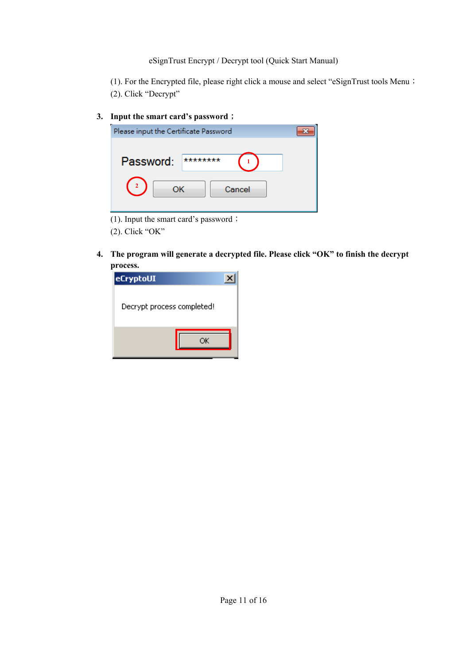(1). For the Encrypted file, please right click a mouse and select "eSignTrust tools Menu; (2). Click "Decrypt"

### **3. Input the smart card's password**;

| Please input the Certificate Password |  |
|---------------------------------------|--|
|                                       |  |
| Password:<br>********                 |  |
| Cancel                                |  |
|                                       |  |

(1). Input the smart card's password;

(2). Click "OK"

**4. The program will generate a decrypted file. Please click "OK" to finish the decrypt process.** 

| eCryptoUI                  |  |
|----------------------------|--|
| Decrypt process completed! |  |
|                            |  |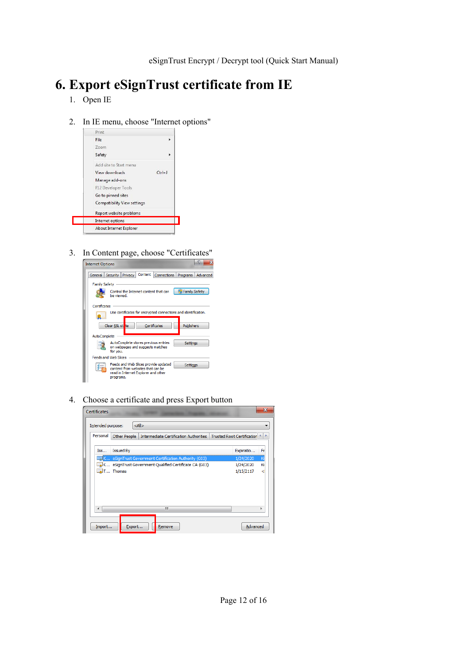# **6. Export eSignTrust certificate from IE**

- 1. Open IE
- 2. In IE menu, choose "Internet options"



3. In Content page, choose "Certificates"



4. Choose a certificate and press Export button

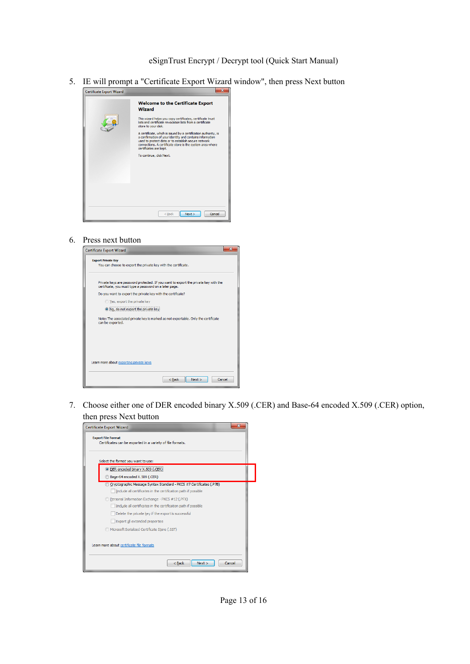5. IE will prompt a "Certificate Export Wizard window", then press Next button

| <b>Certificate Export Wizard</b> |                                                                                                                                                                                                                                                                                                                                                                                                                                                                                                                      |
|----------------------------------|----------------------------------------------------------------------------------------------------------------------------------------------------------------------------------------------------------------------------------------------------------------------------------------------------------------------------------------------------------------------------------------------------------------------------------------------------------------------------------------------------------------------|
|                                  | <b>Welcome to the Certificate Export</b><br><b>Wizard</b><br>This wizard helps you copy certificates, certificate trust<br>lists and certificate revocation lists from a certificate<br>store to your disk.<br>A certificate, which is issued by a certification authority, is<br>a confirmation of your identity and contains information<br>used to protect data or to establish secure network<br>connections. A certificate store is the system area where<br>certificates are kept.<br>To continue, click Next. |
|                                  | Cancel<br>Next<br>$<$ Back                                                                                                                                                                                                                                                                                                                                                                                                                                                                                           |

6. Press next button



7. Choose either one of DER encoded binary X.509 (.CER) and Base-64 encoded X.509 (.CER) option, then press Next button

| Certificate Export Wizard                                                                                                               |        |
|-----------------------------------------------------------------------------------------------------------------------------------------|--------|
| <b>Export File Format</b><br>Certificates can be exported in a variety of file formats.<br>Select the format you want to use:           |        |
| <sup>O</sup> DER encoded binary X.509 (.CER)<br>Base-64 encoded X.509 (.CER)                                                            |        |
| O Cryptographic Message Syntax Standard - PKCS #7 Certificates (.P7B)<br>Include all certificates in the certification path if possible |        |
| Personal Information Exchange - PKCS #12 (.PFX)<br>Include all certificates in the certification path if possible                       |        |
| Delete the private key if the export is successful<br>Export all extended properties                                                    |        |
| Microsoft Serialized Certificate Store (.SST)<br>Learn more about certificate file formats                                              |        |
| $<$ Back<br>Next                                                                                                                        | Cancel |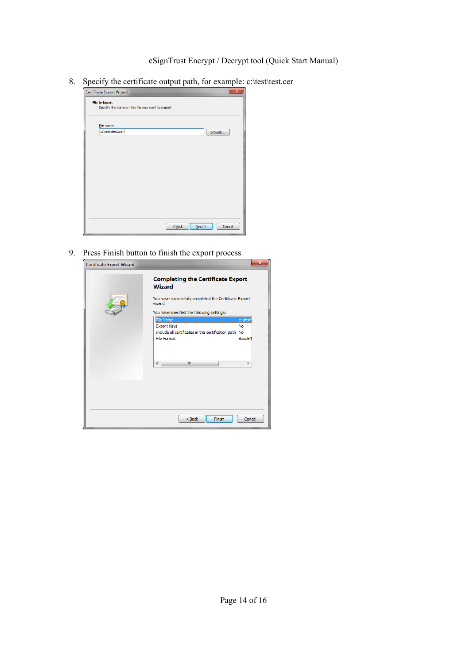8. Specify the certificate output path, for example: c:\test\test.cer

| Certificate Export Wizard                                                |                     | X      |
|--------------------------------------------------------------------------|---------------------|--------|
| <b>File to Export</b><br>Specify the name of the file you want to export |                     |        |
| File name:                                                               |                     |        |
| c:\test\test.cer                                                         |                     | Browse |
|                                                                          |                     |        |
|                                                                          |                     |        |
|                                                                          |                     |        |
|                                                                          |                     |        |
|                                                                          |                     |        |
|                                                                          |                     |        |
|                                                                          |                     |        |
|                                                                          |                     |        |
|                                                                          |                     |        |
|                                                                          | $N$ ext ><br>$Back$ | Cancel |

9. Press Finish button to finish the export process

| Certificate Export Wizard |                                                                   | Ж       |  |  |  |
|---------------------------|-------------------------------------------------------------------|---------|--|--|--|
|                           | <b>Completing the Certificate Export</b><br>Wizard                |         |  |  |  |
|                           | You have successfully completed the Certificate Export<br>wizard. |         |  |  |  |
|                           | You have specified the following settings:                        |         |  |  |  |
|                           | File Name                                                         | c:\test |  |  |  |
|                           | <b>Export Keys</b>                                                | No      |  |  |  |
|                           | Include all certificates in the certification path No             |         |  |  |  |
|                           | <b>File Format</b>                                                | Base64  |  |  |  |
|                           | m.<br>∢                                                           |         |  |  |  |
|                           |                                                                   |         |  |  |  |
|                           | Finish<br>< Back                                                  | Cancel  |  |  |  |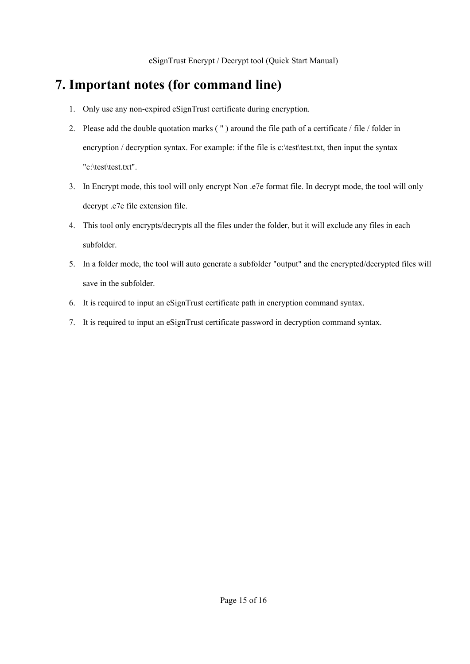# **7. Important notes (for command line)**

- 1. Only use any non-expired eSignTrust certificate during encryption.
- 2. Please add the double quotation marks ( " ) around the file path of a certificate / file / folder in encryption / decryption syntax. For example: if the file is c:\test\test.txt, then input the syntax "c:\test\test.txt".
- 3. In Encrypt mode, this tool will only encrypt Non .e7e format file. In decrypt mode, the tool will only decrypt .e7e file extension file.
- 4. This tool only encrypts/decrypts all the files under the folder, but it will exclude any files in each subfolder.
- 5. In a folder mode, the tool will auto generate a subfolder "output" and the encrypted/decrypted files will save in the subfolder.
- 6. It is required to input an eSignTrust certificate path in encryption command syntax.
- 7. It is required to input an eSignTrust certificate password in decryption command syntax.